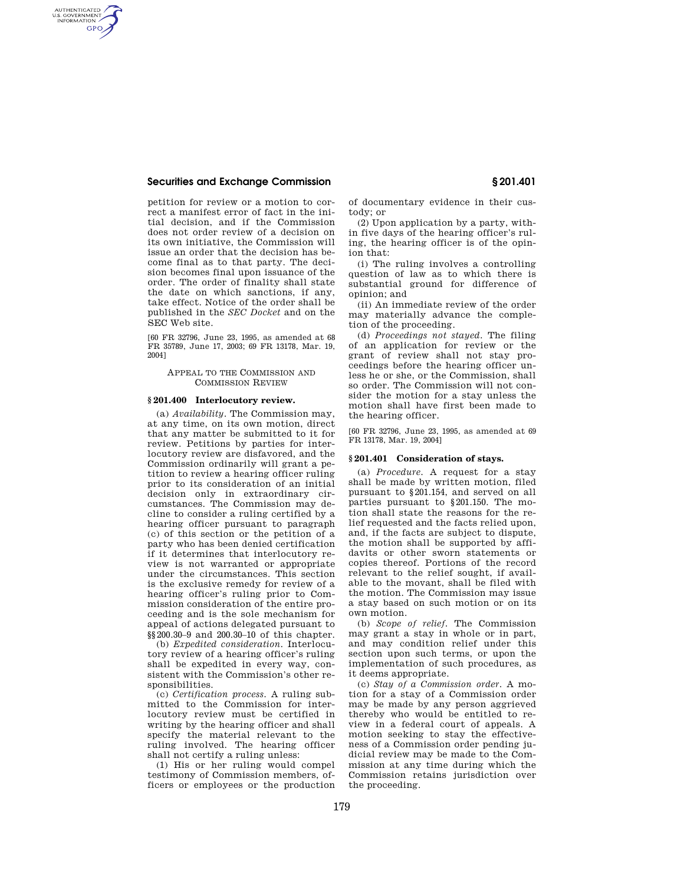## **Securities and Exchange Commission § 201.401**

AUTHENTICATED<br>U.S. GOVERNMENT<br>INFORMATION GPO

> petition for review or a motion to correct a manifest error of fact in the initial decision, and if the Commission does not order review of a decision on its own initiative, the Commission will issue an order that the decision has become final as to that party. The decision becomes final upon issuance of the order. The order of finality shall state the date on which sanctions, if any, take effect. Notice of the order shall be published in the *SEC Docket* and on the SEC Web site.

[60 FR 32796, June 23, 1995, as amended at 68 FR 35789, June 17, 2003; 69 FR 13178, Mar. 19, 2004]

> APPEAL TO THE COMMISSION AND COMMISSION REVIEW

## **§ 201.400 Interlocutory review.**

(a) *Availability.* The Commission may, at any time, on its own motion, direct that any matter be submitted to it for review. Petitions by parties for interlocutory review are disfavored, and the Commission ordinarily will grant a petition to review a hearing officer ruling prior to its consideration of an initial decision only in extraordinary circumstances. The Commission may decline to consider a ruling certified by a hearing officer pursuant to paragraph (c) of this section or the petition of a party who has been denied certification if it determines that interlocutory review is not warranted or appropriate under the circumstances. This section is the exclusive remedy for review of a hearing officer's ruling prior to Commission consideration of the entire proceeding and is the sole mechanism for appeal of actions delegated pursuant to §§200.30–9 and 200.30–10 of this chapter.

(b) *Expedited consideration.* Interlocutory review of a hearing officer's ruling shall be expedited in every way, consistent with the Commission's other responsibilities.

(c) *Certification process.* A ruling submitted to the Commission for interlocutory review must be certified in writing by the hearing officer and shall specify the material relevant to the ruling involved. The hearing officer shall not certify a ruling unless:

(1) His or her ruling would compel testimony of Commission members, officers or employees or the production of documentary evidence in their custody; or

(2) Upon application by a party, within five days of the hearing officer's ruling, the hearing officer is of the opinion that:

(i) The ruling involves a controlling question of law as to which there is substantial ground for difference of opinion; and

(ii) An immediate review of the order may materially advance the completion of the proceeding.

(d) *Proceedings not stayed.* The filing of an application for review or the grant of review shall not stay proceedings before the hearing officer unless he or she, or the Commission, shall so order. The Commission will not consider the motion for a stay unless the motion shall have first been made to the hearing officer.

[60 FR 32796, June 23, 1995, as amended at 69 FR 13178, Mar. 19, 20041

## **§ 201.401 Consideration of stays.**

(a) *Procedure.* A request for a stay shall be made by written motion, filed pursuant to §201.154, and served on all parties pursuant to §201.150. The motion shall state the reasons for the relief requested and the facts relied upon, and, if the facts are subject to dispute, the motion shall be supported by affidavits or other sworn statements or copies thereof. Portions of the record relevant to the relief sought, if available to the movant, shall be filed with the motion. The Commission may issue a stay based on such motion or on its own motion.

(b) *Scope of relief.* The Commission may grant a stay in whole or in part, and may condition relief under this section upon such terms, or upon the implementation of such procedures, as it deems appropriate.

(c) *Stay of a Commission order.* A motion for a stay of a Commission order may be made by any person aggrieved thereby who would be entitled to review in a federal court of appeals. A motion seeking to stay the effectiveness of a Commission order pending judicial review may be made to the Commission at any time during which the Commission retains jurisdiction over the proceeding.